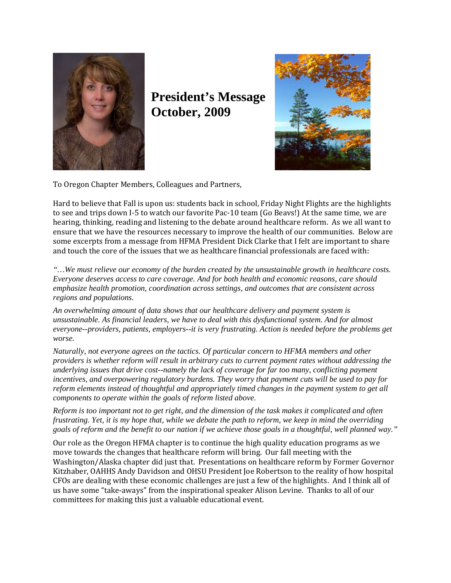

**President's Message October, 2009** 



To Oregon Chapter Members, Colleagues and Partners,

Hard to believe that Fall is upon us: students back in school, Friday Night Flights are the highlights to see and trips down I-5 to watch our favorite Pac-10 team (Go Beavs!) At the same time, we are hearing, thinking, reading and listening to the debate around healthcare reform. As we all want to ensure that we have the resources necessary to improve the health of our communities. Below are some excerpts from a message from HFMA President Dick Clarke that I felt are important to share and touch the core of the issues that we as healthcare financial professionals are faced with:

*"…We must relieve our economy of the burden created by the unsustainable growth in healthcare costs. Everyone deserves access to care coverage. And for both health and economic reasons, care should emphasize health promotion, coordination across settings, and outcomes that are consistent across regions and populations.* 

*An overwhelming amount of data shows that our healthcare delivery and payment system is unsustainable. As financial leaders, we have to deal with this dysfunctional system. And for almost everyone--providers, patients, employers--it is very frustrating. Action is needed before the problems get worse.* 

*Naturally, not everyone agrees on the tactics. Of particular concern to HFMA members and other providers is whether reform will result in arbitrary cuts to current payment rates without addressing the underlying issues that drive cost--namely the lack of coverage for far too many, conflicting payment incentives, and overpowering regulatory burdens. They worry that payment cuts will be used to pay for reform elements instead of thoughtful and appropriately timed changes in the payment system to get all components to operate within the goals of reform listed above.* 

*Reform is too important not to get right, and the dimension of the task makes it complicated and often frustrating. Yet, it is my hope that, while we debate the path to reform, we keep in mind the overriding goals of reform and the benefit to our nation if we achieve those goals in a thoughtful, well planned way."* 

Our role as the Oregon HFMA chapter is to continue the high quality education programs as we move towards the changes that healthcare reform will bring. Our fall meeting with the Washington/Alaska chapter did just that. Presentations on healthcare reform by Former Governor Kitzhaber, OAHHS Andy Davidson and OHSU President Joe Robertson to the reality of how hospital CFOs are dealing with these economic challenges are just a few of the highlights. And I think all of us have some "take-aways" from the inspirational speaker Alison Levine. Thanks to all of our committees for making this just a valuable educational event.